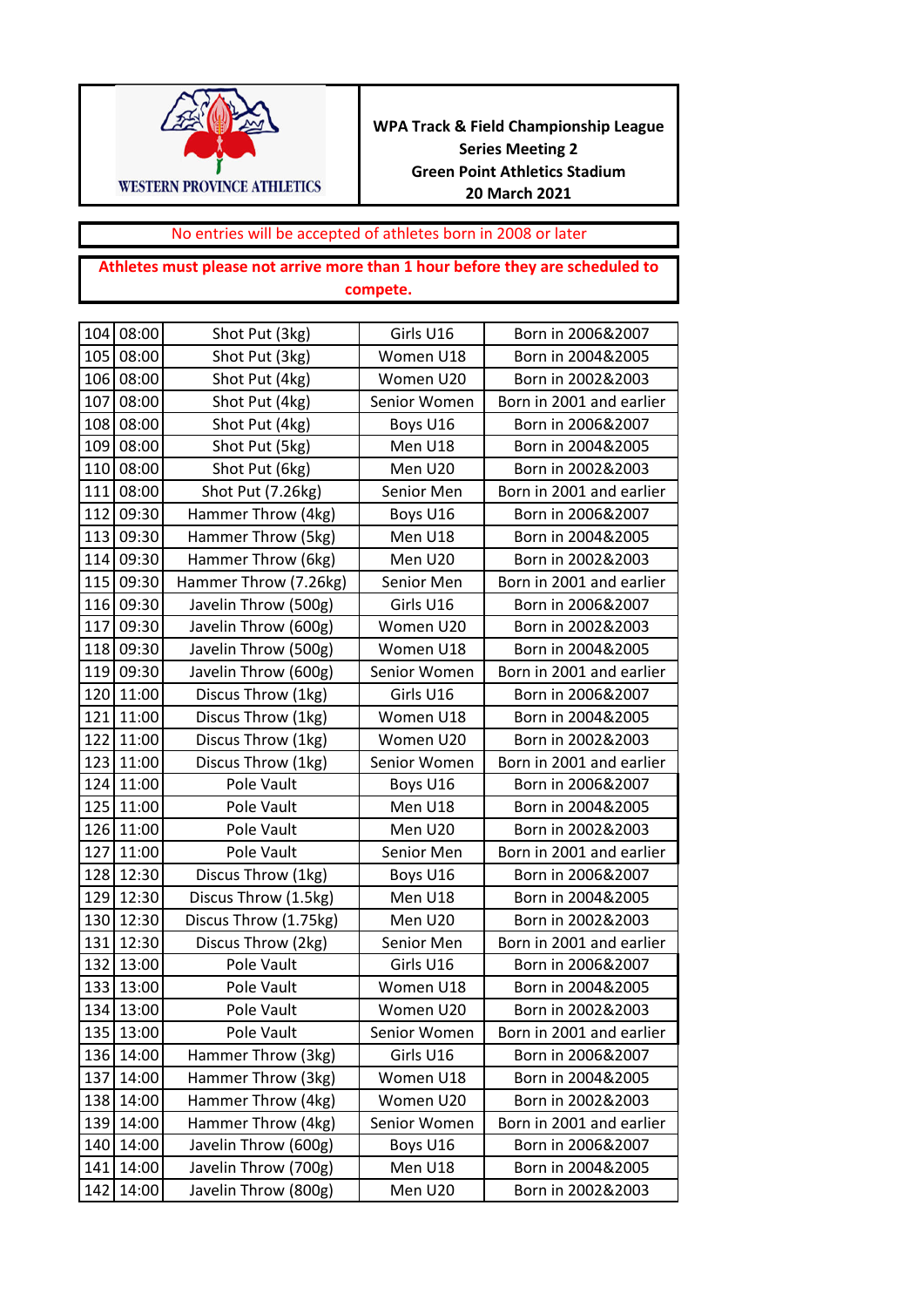

**WPA Track & Field Championship League Series Meeting 2 Green Point Athletics Stadium 20 March 2021**

## No entries will be accepted of athletes born in 2008 or later

## **Athletes must please not arrive more than 1 hour before they are scheduled to compete.**

|     | 104 08:00 | Shot Put (3kg)        | Girls U16    | Born in 2006&2007        |
|-----|-----------|-----------------------|--------------|--------------------------|
| 105 | 08:00     | Shot Put (3kg)        | Women U18    | Born in 2004&2005        |
| 106 | 08:00     | Shot Put (4kg)        | Women U20    | Born in 2002&2003        |
| 107 | 08:00     | Shot Put (4kg)        | Senior Women | Born in 2001 and earlier |
| 108 | 08:00     | Shot Put (4kg)        | Boys U16     | Born in 2006&2007        |
| 109 | 08:00     | Shot Put (5kg)        | Men U18      | Born in 2004&2005        |
| 110 | 08:00     | Shot Put (6kg)        | Men U20      | Born in 2002&2003        |
| 111 | 08:00     | Shot Put (7.26kg)     | Senior Men   | Born in 2001 and earlier |
| 112 | 09:30     | Hammer Throw (4kg)    | Boys U16     | Born in 2006&2007        |
| 113 | 09:30     | Hammer Throw (5kg)    | Men U18      | Born in 2004&2005        |
| 114 | 09:30     | Hammer Throw (6kg)    | Men U20      | Born in 2002&2003        |
| 115 | 09:30     | Hammer Throw (7.26kg) | Senior Men   | Born in 2001 and earlier |
| 116 | 09:30     | Javelin Throw (500g)  | Girls U16    | Born in 2006&2007        |
| 117 | 09:30     | Javelin Throw (600g)  | Women U20    | Born in 2002&2003        |
| 118 | 09:30     | Javelin Throw (500g)  | Women U18    | Born in 2004&2005        |
| 119 | 09:30     | Javelin Throw (600g)  | Senior Women | Born in 2001 and earlier |
| 120 | 11:00     | Discus Throw (1kg)    | Girls U16    | Born in 2006&2007        |
| 121 | 11:00     | Discus Throw (1kg)    | Women U18    | Born in 2004&2005        |
| 122 | 11:00     | Discus Throw (1kg)    | Women U20    | Born in 2002&2003        |
| 123 | 11:00     | Discus Throw (1kg)    | Senior Women | Born in 2001 and earlier |
| 124 | 11:00     | Pole Vault            | Boys U16     | Born in 2006&2007        |
| 125 | 11:00     | Pole Vault            | Men U18      | Born in 2004&2005        |
| 126 | 11:00     | Pole Vault            | Men U20      | Born in 2002&2003        |
| 127 | 11:00     | Pole Vault            | Senior Men   | Born in 2001 and earlier |
| 128 | 12:30     | Discus Throw (1kg)    | Boys U16     | Born in 2006&2007        |
| 129 | 12:30     | Discus Throw (1.5kg)  | Men U18      | Born in 2004&2005        |
| 130 | 12:30     | Discus Throw (1.75kg) | Men U20      | Born in 2002&2003        |
| 131 | 12:30     | Discus Throw (2kg)    | Senior Men   | Born in 2001 and earlier |
| 132 | 13:00     | Pole Vault            | Girls U16    | Born in 2006&2007        |
| 133 | 13:00     | Pole Vault            | Women U18    | Born in 2004&2005        |
|     | 134 13:00 | Pole Vault            | Women U20    | Born in 2002&2003        |
|     | 135 13:00 | Pole Vault            | Senior Women | Born in 2001 and earlier |
| 136 | 14:00     | Hammer Throw (3kg)    | Girls U16    | Born in 2006&2007        |
| 137 | 14:00     | Hammer Throw (3kg)    | Women U18    | Born in 2004&2005        |
| 138 | 14:00     | Hammer Throw (4kg)    | Women U20    | Born in 2002&2003        |
| 139 | 14:00     | Hammer Throw (4kg)    | Senior Women | Born in 2001 and earlier |
| 140 | 14:00     | Javelin Throw (600g)  | Boys U16     | Born in 2006&2007        |
| 141 | 14:00     | Javelin Throw (700g)  | Men U18      | Born in 2004&2005        |
| 142 | 14:00     | Javelin Throw (800g)  | Men U20      | Born in 2002&2003        |